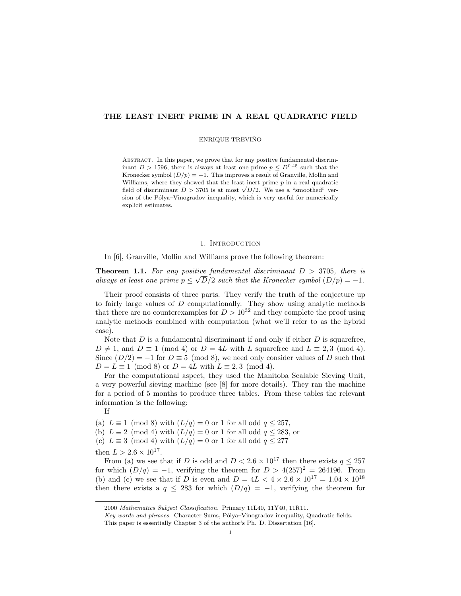## THE LEAST INERT PRIME IN A REAL QUADRATIC FIELD

### ENRIQUE TREVIÑO

ABSTRACT. In this paper, we prove that for any positive fundamental discriminant  $D > 1596$ , there is always at least one prime  $p \leq D^{0.45}$  such that the Kronecker symbol  $(D/p) = -1$ . This improves a result of Granville, Mollin and Williams, where they showed that the least inert prime  $p$  in a real quadratic williams, where they showed that the least lifert prime p in a real quadratic field of discriminant  $D > 3705$  is at most  $\sqrt{D}/2$ . We use a "smoothed" version of the Pólya–Vinogradov inequality, which is very useful for numerically explicit estimates.

#### 1. INTRODUCTION

In [6], Granville, Mollin and Williams prove the following theorem:

**Theorem 1.1.** For any positive fundamental discriminant  $D > 3705$ , there is always at least one prime  $p \leq \sqrt{D/2}$  such that the Kronecker symbol  $(D/p) = -1$ .

Their proof consists of three parts. They verify the truth of the conjecture up to fairly large values of D computationally. They show using analytic methods that there are no counterexamples for  $D > 10^{32}$  and they complete the proof using analytic methods combined with computation (what we'll refer to as the hybrid case).

Note that  $D$  is a fundamental discriminant if and only if either  $D$  is squarefree,  $D \neq 1$ , and  $D \equiv 1 \pmod{4}$  or  $D = 4L$  with L squarefree and  $L \equiv 2,3 \pmod{4}$ . Since  $(D/2) = -1$  for  $D \equiv 5 \pmod{8}$ , we need only consider values of D such that  $D = L \equiv 1 \pmod{8}$  or  $D = 4L$  with  $L \equiv 2, 3 \pmod{4}$ .

For the computational aspect, they used the Manitoba Scalable Sieving Unit, a very powerful sieving machine (see [8] for more details). They ran the machine for a period of 5 months to produce three tables. From these tables the relevant information is the following:

If

(a)  $L \equiv 1 \pmod{8}$  with  $(L/q) = 0$  or 1 for all odd  $q \le 257$ ,

(b) 
$$
L \equiv 2 \pmod{4}
$$
 with  $(L/q) = 0$  or 1 for all odd  $q \le 283$ , or

(c) 
$$
L \equiv 3 \pmod{4}
$$
 with  $(L/q) = 0$  or 1 for all odd  $q \le 277$ 

then  $L > 2.6 \times 10^{17}$ .

From (a) we see that if D is odd and  $D < 2.6 \times 10^{17}$  then there exists  $q \leq 257$ for which  $(D/q) = -1$ , verifying the theorem for  $D > 4(257)^2 = 264196$ . From (b) and (c) we see that if D is even and  $D = 4L < 4 \times 2.6 \times 10^{17} = 1.04 \times 10^{18}$ then there exists a  $q \leq 283$  for which  $(D/q) = -1$ , verifying the theorem for

<sup>2000</sup> Mathematics Subject Classification. Primary 11L40, 11Y40, 11R11.

Key words and phrases. Character Sums, Pólya–Vinogradov inequality, Quadratic fields.

This paper is essentially Chapter 3 of the author's Ph. D. Dissertation [16].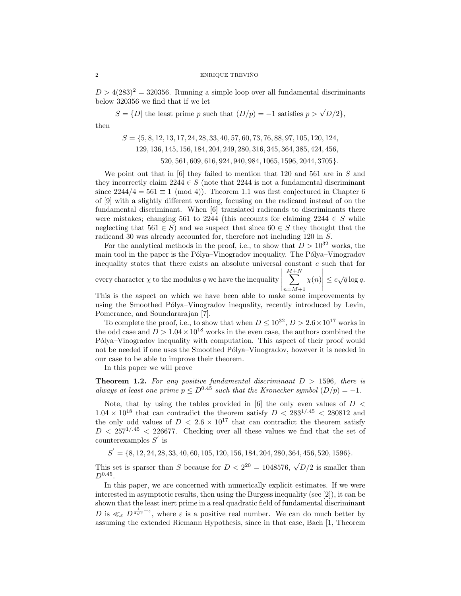$D > 4(283)^2 = 320356$ . Running a simple loop over all fundamental discriminants below 320356 we find that if we let

 $S = \{D \mid \text{the least prime } p \text{ such that } (D/p) = -1 \text{ satisfies } p > \sqrt{D}/2 \},$ then

> $S = \{5, 8, 12, 13, 17, 24, 28, 33, 40, 57, 60, 73, 76, 88, 97, 105, 120, 124,$ 129, 136, 145, 156, 184, 204, 249, 280, 316, 345, 364, 385, 424, 456, 520, 561, 609, 616, 924, 940, 984, 1065, 1596, 2044, 3705}.

We point out that in  $[6]$  they failed to mention that 120 and 561 are in S and they incorrectly claim 2244 ∈ S (note that 2244 is not a fundamental discriminant since  $2244/4 = 561 \equiv 1 \pmod{4}$ . Theorem 1.1 was first conjectured in Chapter 6 of [9] with a slightly different wording, focusing on the radicand instead of on the fundamental discriminant. When [6] translated radicands to discriminants there were mistakes; changing 561 to 2244 (this accounts for claiming 2244  $\in S$  while neglecting that  $561 \in S$ ) and we suspect that since  $60 \in S$  they thought that the radicand 30 was already accounted for, therefore not including 120 in S.

For the analytical methods in the proof, i.e., to show that  $D > 10^{32}$  works, the main tool in the paper is the Pólya–Vinogradov inequality. The Pólya–Vinogradov inequality states that there exists an absolute universal constant  $c$  such that for

every character  $\chi$  to the modulus q we have the inequality  $\sum^{M+N}$  $n = M+1$  $\chi(n)$   $\leq c\sqrt{q}\log q.$ 

This is the aspect on which we have been able to make some improvements by using the Smoothed Pólya–Vinogradov inequality, recently introduced by Levin, Pomerance, and Soundararajan [7].

To complete the proof, i.e., to show that when  $D \leq 10^{32}$ ,  $D > 2.6 \times 10^{17}$  works in the odd case and  $D > 1.04 \times 10^{18}$  works in the even case, the authors combined the Pólya–Vinogradov inequality with computation. This aspect of their proof would not be needed if one uses the Smoothed Pólya–Vinogradov, however it is needed in our case to be able to improve their theorem.

In this paper we will prove

**Theorem 1.2.** For any positive fundamental discriminant  $D > 1596$ , there is always at least one prime  $p \leq D^{0.45}$  such that the Kronecker symbol  $(D/p) = -1$ .

Note, that by using the tables provided in  $[6]$  the only even values of  $D <$  $1.04 \times 10^{18}$  that can contradict the theorem satisfy  $D < 283^{1/0.45} < 280812$  and the only odd values of  $D < 2.6 \times 10^{17}$  that can contradict the theorem satisfy  $D < 257^{1/45} < 226677$ . Checking over all these values we find that the set of counterexamples  $S'$  is

 $S' = \{8, 12, 24, 28, 33, 40, 60, 105, 120, 156, 184, 204, 280, 364, 456, 520, 1596\}.$ 

This set is sparser than S because for  $D < 2^{20} = 1048576$ ,  $\sqrt{D}/2$  is smaller than  $D^{0.45}$ .

In this paper, we are concerned with numerically explicit estimates. If we were interested in asymptotic results, then using the Burgess inequality (see [2]), it can be shown that the least inert prime in a real quadratic field of fundamental discriminant D is  $\ll_{\varepsilon}$   $D^{\frac{1}{4\sqrt{\varepsilon}}+\varepsilon}$ , where  $\varepsilon$  is a positive real number. We can do much better by assuming the extended Riemann Hypothesis, since in that case, Bach [1, Theorem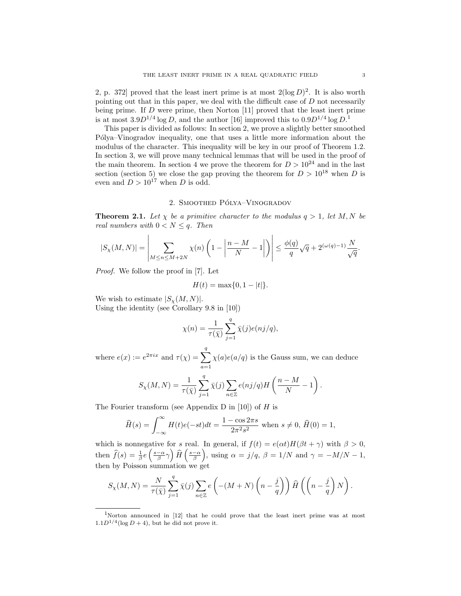2, p. 372 proved that the least inert prime is at most  $2(\log D)^2$ . It is also worth pointing out that in this paper, we deal with the difficult case of  $D$  not necessarily being prime. If D were prime, then Norton [11] proved that the least inert prime is at most  $3.9D^{1/4}\log D$ , and the author [16] improved this to  $0.9D^{1/4}\log D$ <sup>1</sup>

This paper is divided as follows: In section 2, we prove a slightly better smoothed P´olya–Vinogradov inequality, one that uses a little more information about the modulus of the character. This inequality will be key in our proof of Theorem 1.2. In section 3, we will prove many technical lemmas that will be used in the proof of the main theorem. In section 4 we prove the theorem for  $D > 10^{24}$  and in the last section (section 5) we close the gap proving the theorem for  $D > 10^{18}$  when D is even and  $D > 10^{17}$  when D is odd.

## 2. SMOOTHED PÓLYA-VINOGRADOV

**Theorem 2.1.** Let  $\chi$  be a primitive character to the modulus  $q > 1$ , let M, N be real numbers with  $0 < N \leq q$ . Then

$$
|S_{\chi}(M,N)| = \left|\sum_{M \leq n \leq M+2N} \chi(n) \left(1 - \left|\frac{n-M}{N} - 1\right|\right)\right| \leq \frac{\phi(q)}{q} \sqrt{q} + 2^{(\omega(q)-1)} \frac{N}{\sqrt{q}}.
$$

Proof. We follow the proof in [7]. Let

$$
H(t) = \max\{0, 1 - |t|\}.
$$

We wish to estimate  $|S_{\chi}(M,N)|$ .

Using the identity (see Corollary 9.8 in [10])

$$
\chi(n) = \frac{1}{\tau(\bar{\chi})} \sum_{j=1}^{q} \bar{\chi}(j) e(nj/q),
$$

where  $e(x) := e^{2\pi ix}$  and  $\tau(\chi) = \sum_{n=1}^{q}$  $a=1$  $\chi(a)e(a/q)$  is the Gauss sum, we can deduce

$$
S_{\chi}(M,N) = \frac{1}{\tau(\bar{\chi})} \sum_{j=1}^{q} \bar{\chi}(j) \sum_{n \in \mathbb{Z}} e(nj/q) H\left(\frac{n-M}{N} - 1\right).
$$

The Fourier transform (see Appendix D in [10]) of  $H$  is

$$
\widehat{H}(s) = \int_{-\infty}^{\infty} H(t)e(-st)dt = \frac{1 - \cos 2\pi s}{2\pi^2 s^2}
$$
 when  $s \neq 0$ ,  $\widehat{H}(0) = 1$ ,

which is nonnegative for s real. In general, if  $f(t) = e(\alpha t)H(\beta t + \gamma)$  with  $\beta > 0$ , then  $\hat{f}(s) = \frac{1}{\beta} e\left(\frac{s-\alpha}{\beta}\gamma\right) \hat{H}\left(\frac{s-\alpha}{\beta}\right)$ , using  $\alpha = j/q$ ,  $\beta = 1/N$  and  $\gamma = -M/N - 1$ , then by Poisson summation we get

$$
S_{\chi}(M,N)=\frac{N}{\tau(\bar{\chi})}\sum_{j=1}^q\bar{\chi}(j)\sum_{n\in\mathbb{Z}}e\left(-(M+N)\left(n-\frac{j}{q}\right)\right)\widehat{H}\left(\left(n-\frac{j}{q}\right)N\right).
$$

<sup>1</sup>Norton announced in [12] that he could prove that the least inert prime was at most  $1.1D^{1/4}(\log D + 4)$ , but he did not prove it.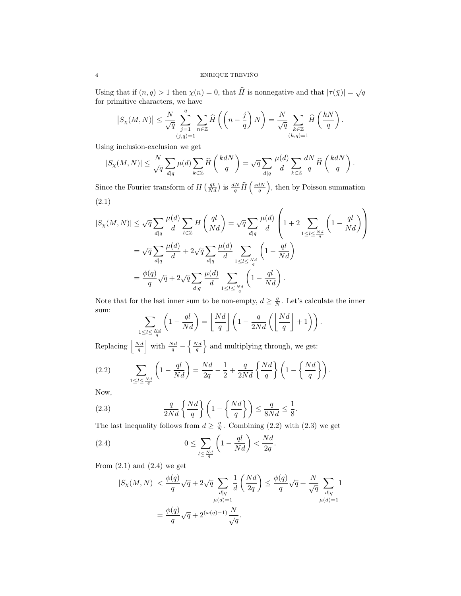## 4 ENRIQUE TREVIÑO

Using that if  $(n, q) > 1$  then  $\chi(n) = 0$ , that  $\widehat{H}$  is nonnegative and that  $|\tau(\bar{\chi})| = \sqrt{q}$ for primitive characters, we have

$$
\left|S_{\chi}(M,N)\right|\leq \frac{N}{\sqrt{q}}\sum_{\substack{j=1\\(j,q)=1}}^{q}\sum_{n\in\mathbb{Z}}\widehat{H}\left(\left(n-\frac{j}{q}\right)N\right)=\frac{N}{\sqrt{q}}\sum_{\substack{k\in\mathbb{Z}\\(k,q)=1}}\widehat{H}\left(\frac{kN}{q}\right).
$$

Using inclusion-exclusion we get

$$
|S_{\chi}(M,N)| \leq \frac{N}{\sqrt{q}} \sum_{d|q} \mu(d) \sum_{k \in \mathbb{Z}} \widehat{H}\left(\frac{k d N}{q}\right) = \sqrt{q} \sum_{d|q} \frac{\mu(d)}{d} \sum_{k \in \mathbb{Z}} \frac{dN}{q} \widehat{H}\left(\frac{k d N}{q}\right).
$$

Since the Fourier transform of  $H\left(\frac{qt}{Nd}\right)$  is  $\frac{dN}{q}\hat{H}\left(\frac{sdN}{q}\right)$ , then by Poisson summation (2.1)

$$
|S_{\chi}(M,N)| \leq \sqrt{q} \sum_{d|q} \frac{\mu(d)}{d} \sum_{l \in \mathbb{Z}} H\left(\frac{ql}{Nd}\right) = \sqrt{q} \sum_{d|q} \frac{\mu(d)}{d} \left(1 + 2 \sum_{1 \leq l \leq \frac{Nd}{q}} \left(1 - \frac{ql}{Nd}\right)\right)
$$
  

$$
= \sqrt{q} \sum_{d|q} \frac{\mu(d)}{d} + 2\sqrt{q} \sum_{d|q} \frac{\mu(d)}{d} \sum_{1 \leq l \leq \frac{Nd}{q}} \left(1 - \frac{ql}{Nd}\right)
$$
  

$$
= \frac{\phi(q)}{q} \sqrt{q} + 2\sqrt{q} \sum_{d|q} \frac{\mu(d)}{d} \sum_{1 \leq l \leq \frac{Nd}{q}} \left(1 - \frac{ql}{Nd}\right).
$$

Note that for the last inner sum to be non-empty,  $d \geq \frac{q}{N}$ . Let's calculate the inner sum:

$$
\sum_{1 \le l \le \frac{Nd}{q}} \left(1 - \frac{ql}{Nd}\right) = \left\lfloor \frac{Nd}{q} \right\rfloor \left(1 - \frac{q}{2Nd} \left(\left\lfloor \frac{Nd}{q} \right\rfloor + 1\right)\right).
$$

Replacing  $\left|\frac{Nd}{q}\right|$  with  $\frac{Nd}{q} - \left{\frac{Nd}{q}\right\}$  and multiplying through, we get:

(2.2) 
$$
\sum_{1 \le l \le \frac{Nd}{q}} \left(1 - \frac{ql}{Nd}\right) = \frac{Nd}{2q} - \frac{1}{2} + \frac{q}{2Nd} \left\{\frac{Nd}{q}\right\} \left(1 - \left\{\frac{Nd}{q}\right\}\right).
$$

Now,

(2.3) 
$$
\frac{q}{2Nd} \left\{ \frac{Nd}{q} \right\} \left( 1 - \left\{ \frac{Nd}{q} \right\} \right) \le \frac{q}{8Nd} \le \frac{1}{8}.
$$

The last inequality follows from  $d \geq \frac{q}{N}$ . Combining (2.2) with (2.3) we get

(2.4) 
$$
0 \leq \sum_{l \leq \frac{Nd}{q}} \left(1 - \frac{ql}{Nd}\right) < \frac{Nd}{2q}.
$$

From  $(2.1)$  and  $(2.4)$  we get

$$
|S_{\chi}(M,N)| < \frac{\phi(q)}{q} \sqrt{q} + 2\sqrt{q} \sum_{\substack{d|q \\ \mu(d)=1}} \frac{1}{d} \left(\frac{Nd}{2q}\right) \le \frac{\phi(q)}{q} \sqrt{q} + \frac{N}{\sqrt{q}} \sum_{\substack{d|q \\ \mu(d)=1}} 1
$$
\n
$$
= \frac{\phi(q)}{q} \sqrt{q} + 2^{(\omega(q)-1)} \frac{N}{\sqrt{q}}.
$$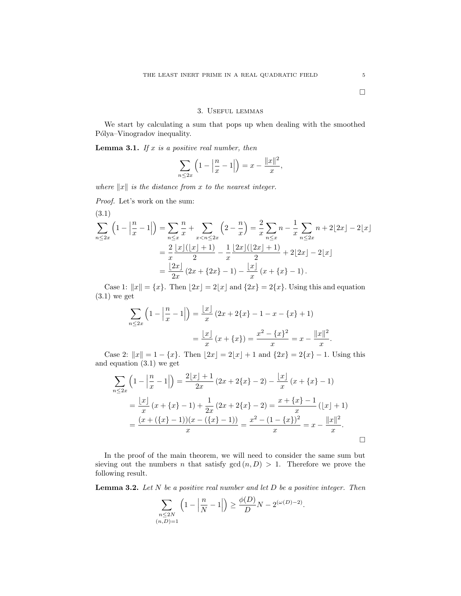### 3. Useful lemmas

We start by calculating a sum that pops up when dealing with the smoothed Pólya–Vinogradov inequality.

**Lemma 3.1.** If  $x$  is a positive real number, then

$$
\sum_{n \le 2x} \left( 1 - \left| \frac{n}{x} - 1 \right| \right) = x - \frac{\|x\|^2}{x},
$$

where  $||x||$  is the distance from x to the nearest integer.

Proof. Let's work on the sum:

$$
(3.1)
$$
\n
$$
\sum_{n \leq 2x} \left( 1 - \left| \frac{n}{x} - 1 \right| \right) = \sum_{n \leq x} \frac{n}{x} + \sum_{x < n \leq 2x} \left( 2 - \frac{n}{x} \right) = \frac{2}{x} \sum_{n \leq x} n - \frac{1}{x} \sum_{n \leq 2x} n + 2 \lfloor 2x \rfloor - 2 \lfloor x \rfloor
$$
\n
$$
= \frac{2}{x} \frac{\lfloor x \rfloor (\lfloor x \rfloor + 1)}{2} - \frac{1}{x} \frac{\lfloor 2x \rfloor (\lfloor 2x \rfloor + 1)}{2} + 2 \lfloor 2x \rfloor - 2 \lfloor x \rfloor
$$
\n
$$
= \frac{\lfloor 2x \rfloor}{2x} (2x + \{ 2x \} - 1) - \frac{\lfloor x \rfloor}{x} (x + \{ x \} - 1).
$$

Case 1:  $||x|| = {x}$ . Then  $|2x| = 2|x|$  and  ${2x} = 2{x}$ . Using this and equation  $(3.1)$  we get

$$
\sum_{n \le 2x} \left( 1 - \left| \frac{n}{x} - 1 \right| \right) = \frac{|x|}{x} \left( 2x + 2\{x\} - 1 - x - \{x\} + 1 \right)
$$

$$
= \frac{|x|}{x} \left( x + \{x\} \right) = \frac{x^2 - \{x\}^2}{x} = x - \frac{||x||^2}{x}
$$

Case 2:  $||x|| = 1 - \{x\}$ . Then  $|2x| = 2|x| + 1$  and  $\{2x\} = 2\{x\} - 1$ . Using this and equation (3.1) we get

$$
\sum_{n\leq 2x} \left(1 - \left|\frac{n}{x} - 1\right|\right) = \frac{2\lfloor x \rfloor + 1}{2x} \left(2x + 2\{x\} - 2\right) - \frac{\lfloor x \rfloor}{x} \left(x + \{x\} - 1\right)
$$

$$
= \frac{\lfloor x \rfloor}{x} \left(x + \{x\} - 1\right) + \frac{1}{2x} \left(2x + 2\{x\} - 2\right) = \frac{x + \{x\} - 1}{x} \left(\lfloor x \rfloor + 1\right)
$$

$$
= \frac{(x + (\{x\} - 1))(x - (\{x\} - 1))}{x} = \frac{x^2 - (1 - \{x\})^2}{x} = x - \frac{\|x\|^2}{x}.
$$

In the proof of the main theorem, we will need to consider the same sum but sieving out the numbers n that satisfy  $gcd(n, D) > 1$ . Therefore we prove the following result.

**Lemma 3.2.** Let  $N$  be a positive real number and let  $D$  be a positive integer. Then

$$
\sum_{\substack{n \le 2N \\ (n,D)=1}} \left(1 - \left|\frac{n}{N} - 1\right|\right) \ge \frac{\phi(D)}{D}N - 2^{(\omega(D)-2)}.
$$

.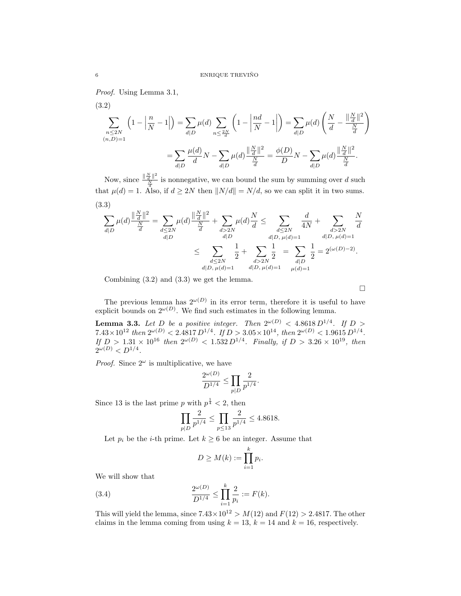Proof. Using Lemma 3.1,

(3.2)  
\n
$$
\sum_{\substack{n \leq 2N \ (n,D)=1}} \left(1 - \left|\frac{n}{N} - 1\right|\right) = \sum_{d|D} \mu(d) \sum_{n \leq \frac{2N}{d}} \left(1 - \left|\frac{nd}{N} - 1\right|\right) = \sum_{d|D} \mu(d) \left(\frac{N}{d} - \frac{\left\|\frac{N}{d}\right\|^2}{\frac{N}{d}}\right)
$$
\n
$$
= \sum_{d|D} \frac{\mu(d)}{d} N - \sum_{d|D} \mu(d) \frac{\left\|\frac{N}{d}\right\|^2}{\frac{N}{d}} = \frac{\phi(D)}{D} N - \sum_{d|D} \mu(d) \frac{\left\|\frac{N}{d}\right\|^2}{\frac{N}{d}}.
$$

Now, since  $\frac{\|\frac{N}{d}\|^2}{N}$  $\frac{\overline{d} \parallel}{N}$  is nonnegative, we can bound the sum by summing over d such that  $\mu(d) = 1$ . Also, if  $d \geq 2N$  then  $||N/d|| = N/d$ , so we can split it in two sums. (3.3)

$$
\begin{split} \sum_{d|D} \mu(d) \frac{\|\frac{N}{d}\|^2}{\frac{N}{d}} &= \sum_{\substack{d \leq 2N \\ d|D}} \mu(d) \frac{\|\frac{N}{d}\|^2}{\frac{N}{d}} + \sum_{\substack{d > 2N \\ d|D}} \mu(d) \frac{N}{d} \leq \sum_{\substack{d \leq 2N \\ d|D}} \frac{d}{4N} + \sum_{\substack{d > 2N \\ d|D, \mu(d) = 1}} \frac{N}{4N} \\ & \leq \sum_{\substack{d \leq 2N \\ d|D, \mu(d) = 1}} \frac{1}{2} + \sum_{\substack{d > 2N \\ d > 2N}} \frac{1}{2} = \sum_{\substack{d|D \\ d|D}} \frac{1}{2} = 2^{(\omega(D) - 2)}. \end{split}
$$

Combining (3.2) and (3.3) we get the lemma.

 $\Box$ 

The previous lemma has  $2^{\omega(D)}$  in its error term, therefore it is useful to have explicit bounds on  $2^{\omega(D)}$ . We find such estimates in the following lemma.

**Lemma 3.3.** Let D be a positive integer. Then  $2^{\omega(D)} < 4.8618 D^{1/4}$ . If D >  $7.43 \times 10^{12}$  then  $2^{\omega(D)} < 2.4817 D^{1/4}$ . If  $D > 3.05 \times 10^{14}$ , then  $2^{\omega(D)} < 1.9615 D^{1/4}$ . If  $D > 1.31 \times 10^{16}$  then  $2^{\omega(D)} < 1.532 D^{1/4}$ . Finally, if  $D > 3.26 \times 10^{19}$ , then  $2^{\omega(D)} < D^{1/4}.$ 

*Proof.* Since  $2^{\omega}$  is multiplicative, we have

$$
\frac{2^{\omega(D)}}{D^{1/4}} \le \prod_{p|D} \frac{2}{p^{1/4}}.
$$

Since 13 is the last prime p with  $p^{\frac{1}{4}} < 2$ , then

$$
\prod_{p|D} \frac{2}{p^{1/4}} \le \prod_{p \le 13} \frac{2}{p^{1/4}} \le 4.8618.
$$

Let  $p_i$  be the *i*-th prime. Let  $k \geq 6$  be an integer. Assume that

$$
D \geq M(k) := \prod_{i=1}^{k} p_i.
$$

We will show that

(3.4) 
$$
\frac{2^{\omega(D)}}{D^{1/4}} \le \prod_{i=1}^{k} \frac{2}{p_i} := F(k).
$$

This will yield the lemma, since  $7.43 \times 10^{12} > M(12)$  and  $F(12) > 2.4817$ . The other claims in the lemma coming from using  $k = 13$ ,  $k = 14$  and  $k = 16$ , respectively.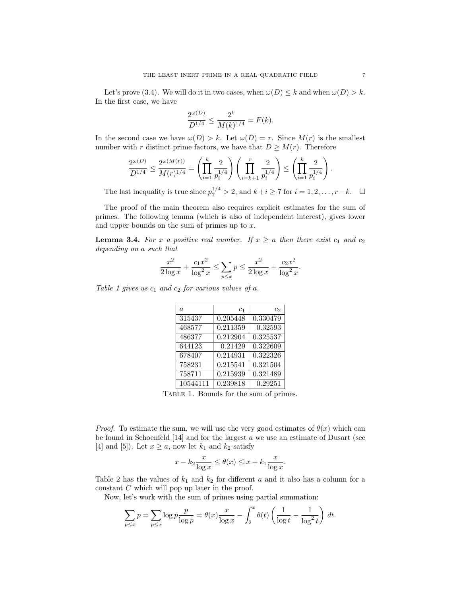Let's prove (3.4). We will do it in two cases, when  $\omega(D) \leq k$  and when  $\omega(D) > k$ . In the first case, we have

$$
\frac{2^{\omega(D)}}{D^{1/4}} \le \frac{2^k}{M(k)^{1/4}} = F(k).
$$

In the second case we have  $\omega(D) > k$ . Let  $\omega(D) = r$ . Since  $M(r)$  is the smallest number with r distinct prime factors, we have that  $D \geq M(r)$ . Therefore

$$
\frac{2^{\omega(D)}}{D^{1/4}} \le \frac{2^{\omega(M(r))}}{M(r)^{1/4}} = \left(\prod_{i=1}^k \frac{2}{p_i^{1/4}}\right) \left(\prod_{i=k+1}^r \frac{2}{p_i^{1/4}}\right) \le \left(\prod_{i=1}^k \frac{2}{p_i^{1/4}}\right).
$$

The last inequality is true since  $p_7^{1/4} > 2$ , and  $k+i \ge 7$  for  $i = 1, 2, ..., r-k$ .  $\Box$ 

The proof of the main theorem also requires explicit estimates for the sum of primes. The following lemma (which is also of independent interest), gives lower and upper bounds on the sum of primes up to x.

**Lemma 3.4.** For x a positive real number. If  $x \ge a$  then there exist  $c_1$  and  $c_2$ depending on a such that

$$
\frac{x^2}{2\log x} + \frac{c_1x^2}{\log^2 x} \le \sum_{p \le x} p \le \frac{x^2}{2\log x} + \frac{c_2x^2}{\log^2 x}.
$$

Table 1 gives us  $c_1$  and  $c_2$  for various values of a.

| $\alpha$ | c <sub>1</sub> | C9.      |
|----------|----------------|----------|
| 315437   | 0.205448       | 0.330479 |
| 468577   | 0.211359       | 0.32593  |
| 486377   | 0.212904       | 0.325537 |
| 644123   | 0.21429        | 0.322609 |
| 678407   | 0.214931       | 0.322326 |
| 758231   | 0.215541       | 0.321504 |
| 758711   | 0.215939       | 0.321489 |
| 10544111 | 0.239818       | 0.29251  |

Table 1. Bounds for the sum of primes.

*Proof.* To estimate the sum, we will use the very good estimates of  $\theta(x)$  which can be found in Schoenfeld [14] and for the largest a we use an estimate of Dusart (see [4] and [5]). Let  $x \ge a$ , now let  $k_1$  and  $k_2$  satisfy

$$
x - k_2 \frac{x}{\log x} \le \theta(x) \le x + k_1 \frac{x}{\log x}.
$$

Table 2 has the values of  $k_1$  and  $k_2$  for different a and it also has a column for a constant C which will pop up later in the proof.

Now, let's work with the sum of primes using partial summation:

$$
\sum_{p \le x} p = \sum_{p \le x} \log p \frac{p}{\log p} = \theta(x) \frac{x}{\log x} - \int_2^x \theta(t) \left( \frac{1}{\log t} - \frac{1}{\log^2 t} \right) dt.
$$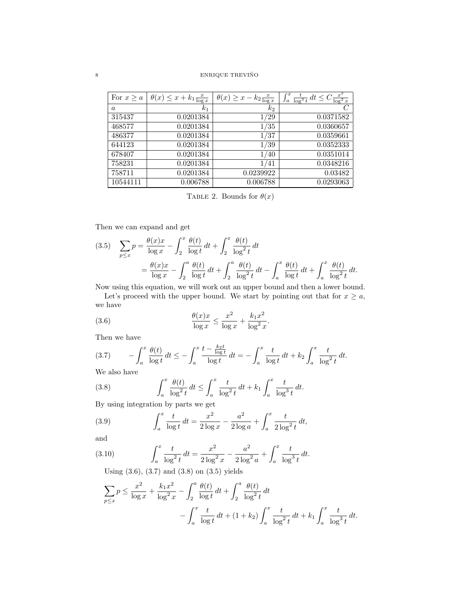# $\begin{array}{lll} \text{ENRIQUE} \end{array} \begin{array}{lll} \text{ENRIQUE} \end{array}$

| For $x \geq a$ | $\theta(x) \leq x + k_1 \frac{x}{\log x}$ | $\theta(x) \geq x - k_2 \frac{x}{\log x}$ | $\int_a^x \frac{t}{\log^3 t} dt \leq C \frac{x^2}{\log^2 x}$ |
|----------------|-------------------------------------------|-------------------------------------------|--------------------------------------------------------------|
| $\alpha$       | k <sub>1</sub>                            | k2                                        |                                                              |
| 315437         | 0.0201384                                 | 1/29                                      | 0.0371582                                                    |
| 468577         | 0.0201384                                 | 1/35                                      | 0.0360657                                                    |
| 486377         | 0.0201384                                 | 1/37                                      | 0.0359661                                                    |
| 644123         | 0.0201384                                 | 1/39                                      | 0.0352333                                                    |
| 678407         | 0.0201384                                 | 1/40                                      | 0.0351014                                                    |
| 758231         | 0.0201384                                 | 1/41                                      | 0.0348216                                                    |
| 758711         | 0.0201384                                 | 0.0239922                                 | 0.03482                                                      |
| 10544111       | 0.006788                                  | 0.006788                                  | 0.0293063                                                    |

TABLE 2. Bounds for  $\theta(x)$ 

Then we can expand and get

(3.5) 
$$
\sum_{p \le x} p = \frac{\theta(x)x}{\log x} - \int_2^x \frac{\theta(t)}{\log t} dt + \int_2^x \frac{\theta(t)}{\log^2 t} dt
$$

$$
= \frac{\theta(x)x}{\log x} - \int_2^a \frac{\theta(t)}{\log t} dt + \int_2^a \frac{\theta(t)}{\log^2 t} dt - \int_a^x \frac{\theta(t)}{\log t} dt + \int_a^x \frac{\theta(t)}{\log^2 t} dt.
$$

Now using this equation, we will work out an upper bound and then a lower bound.

Let's proceed with the upper bound. We start by pointing out that for  $x \ge a$ , we have

(3.6) 
$$
\frac{\theta(x)x}{\log x} \le \frac{x^2}{\log x} + \frac{k_1 x^2}{\log^2 x}.
$$

Then we have

$$
(3.7) \qquad -\int_{a}^{x} \frac{\theta(t)}{\log t} \, dt \le -\int_{a}^{x} \frac{t - \frac{k_2 t}{\log t}}{\log t} \, dt = -\int_{a}^{x} \frac{t}{\log t} \, dt + k_2 \int_{a}^{x} \frac{t}{\log^2 t} \, dt.
$$

We also have

(3.8) 
$$
\int_{a}^{x} \frac{\theta(t)}{\log^{2} t} dt \leq \int_{a}^{x} \frac{t}{\log^{2} t} dt + k_{1} \int_{a}^{x} \frac{t}{\log^{3} t} dt.
$$

By using integration by parts we get

(3.9) 
$$
\int_{a}^{x} \frac{t}{\log t} dt = \frac{x^2}{2 \log x} - \frac{a^2}{2 \log a} + \int_{a}^{x} \frac{t}{2 \log^2 t} dt,
$$

and

(3.10) 
$$
\int_{a}^{x} \frac{t}{\log^{2} t} dt = \frac{x^{2}}{2 \log^{2} x} - \frac{a^{2}}{2 \log^{2} a} + \int_{a}^{x} \frac{t}{\log^{3} t} dt.
$$

Using (3.6), (3.7) and (3.8) on (3.5) yields

$$
\sum_{p \le x} p \le \frac{x^2}{\log x} + \frac{k_1 x^2}{\log^2 x} - \int_2^a \frac{\theta(t)}{\log t} dt + \int_2^a \frac{\theta(t)}{\log^2 t} dt - \int_a^x \frac{t}{\log^2 t} dt + (1 + k_2) \int_a^x \frac{t}{\log^2 t} dt + k_1 \int_a^x \frac{t}{\log^3 t} dt.
$$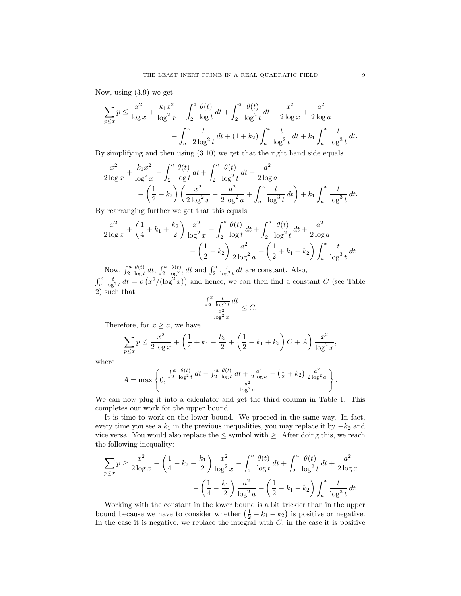Now, using (3.9) we get

$$
\sum_{p \le x} p \le \frac{x^2}{\log x} + \frac{k_1 x^2}{\log^2 x} - \int_2^a \frac{\theta(t)}{\log t} dt + \int_2^a \frac{\theta(t)}{\log^2 t} dt - \frac{x^2}{2 \log x} + \frac{a^2}{2 \log a} - \int_a^x \frac{t}{2 \log^2 t} dt + (1 + k_2) \int_a^x \frac{t}{\log^2 t} dt + k_1 \int_a^x \frac{t}{\log^3 t} dt.
$$

By simplifying and then using (3.10) we get that the right hand side equals

$$
\frac{x^2}{2\log x} + \frac{k_1 x^2}{\log^2 x} - \int_2^a \frac{\theta(t)}{\log t} dt + \int_2^a \frac{\theta(t)}{\log^2 t} dt + \frac{a^2}{2\log a} + \left(\frac{1}{2} + k_2\right) \left(\frac{x^2}{2\log^2 x} - \frac{a^2}{2\log^2 a} + \int_a^x \frac{t}{\log^3 t} dt\right) + k_1 \int_a^x \frac{t}{\log^3 t} dt.
$$

By rearranging further we get that this equals

$$
\frac{x^2}{2\log x} + \left(\frac{1}{4} + k_1 + \frac{k_2}{2}\right) \frac{x^2}{\log^2 x} - \int_2^a \frac{\theta(t)}{\log t} dt + \int_2^a \frac{\theta(t)}{\log^2 t} dt + \frac{a^2}{2\log a} - \left(\frac{1}{2} + k_2\right) \frac{a^2}{2\log^2 a} + \left(\frac{1}{2} + k_1 + k_2\right) \int_a^x \frac{t}{\log^3 t} dt.
$$

Now,  $\int_2^a$  $\theta(t)$  $\frac{\theta(t)}{\log t} dt$ ,  $\int_2^a$  $\frac{\theta(t)}{\log^2 t} dt$  and  $\int_2^a \frac{t}{\log^3 t} dt$  are constant. Also,  $\int_a^x \frac{t}{\log^3 t} dt = o(x^2/(\log^2 x))$  and hence, we can then find a constant C (see Table 2) such that

$$
\frac{\int_a^x \frac{t}{\log^3 t} dt}{\frac{x^2}{\log^2 x}} \leq C.
$$

Therefore, for  $x \geq a$ , we have

$$
\sum_{p \le x} p \le \frac{x^2}{2 \log x} + \left(\frac{1}{4} + k_1 + \frac{k_2}{2} + \left(\frac{1}{2} + k_1 + k_2\right)C + A\right) \frac{x^2}{\log^2 x},
$$

where

$$
A = \max \left\{ 0, \frac{\int_2^a \frac{\theta(t)}{\log^2 t} dt - \int_2^a \frac{\theta(t)}{\log t} dt + \frac{a^2}{2 \log a} - (\frac{1}{2} + k_2) \frac{a^2}{2 \log^2 a}}{\frac{a^2}{\log^2 a}} \right\}.
$$

We can now plug it into a calculator and get the third column in Table 1. This completes our work for the upper bound.

It is time to work on the lower bound. We proceed in the same way. In fact, every time you see a  $k_1$  in the previous inequalities, you may replace it by  $-k_2$  and vice versa. You would also replace the  $\leq$  symbol with  $\geq.$  After doing this, we reach the following inequality:

$$
\sum_{p \le x} p \ge \frac{x^2}{2 \log x} + \left(\frac{1}{4} - k_2 - \frac{k_1}{2}\right) \frac{x^2}{\log^2 x} - \int_2^a \frac{\theta(t)}{\log t} dt + \int_2^a \frac{\theta(t)}{\log^2 t} dt + \frac{a^2}{2 \log a} - \left(\frac{1}{4} - \frac{k_1}{2}\right) \frac{a^2}{\log^2 a} + \left(\frac{1}{2} - k_1 - k_2\right) \int_a^x \frac{t}{\log^3 t} dt.
$$

Working with the constant in the lower bound is a bit trickier than in the upper bound because we have to consider whether  $(\frac{1}{2} - k_1 - k_2)$  is positive or negative. In the case it is negative, we replace the integral with  $C$ , in the case it is positive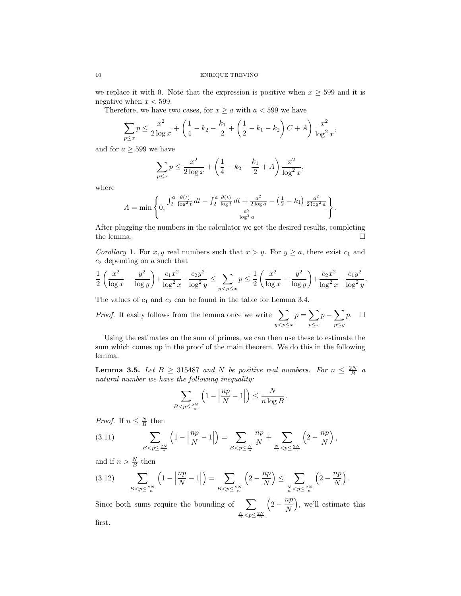we replace it with 0. Note that the expression is positive when  $x \geq 599$  and it is negative when  $x < 599$ .

Therefore, we have two cases, for  $x \ge a$  with  $a < 599$  we have

$$
\sum_{p \le x} p \le \frac{x^2}{2 \log x} + \left(\frac{1}{4} - k_2 - \frac{k_1}{2} + \left(\frac{1}{2} - k_1 - k_2\right)C + A\right) \frac{x^2}{\log^2 x},
$$

and for  $a \geq 599$  we have

$$
\sum_{p \le x} p \le \frac{x^2}{2 \log x} + \left(\frac{1}{4} - k_2 - \frac{k_1}{2} + A\right) \frac{x^2}{\log^2 x},
$$

where

$$
A = \min\left\{0, \frac{\int_2^a \frac{\theta(t)}{\log^2 t} dt - \int_2^a \frac{\theta(t)}{\log t} dt + \frac{a^2}{2\log a} - (\frac{1}{2} - k_1) \frac{a^2}{2\log^2 a}}{\frac{a^2}{\log^2 a}}\right\}.
$$

After plugging the numbers in the calculator we get the desired results, completing the lemma.  $\Box$ 

Corollary 1. For x, y real numbers such that  $x > y$ . For  $y \ge a$ , there exist  $c_1$  and  $c_2$  depending on a such that

$$
\frac{1}{2} \left( \frac{x^2}{\log x} - \frac{y^2}{\log y} \right) + \frac{c_1 x^2}{\log^2 x} - \frac{c_2 y^2}{\log^2 y} \le \sum_{y < p \le x} p \le \frac{1}{2} \left( \frac{x^2}{\log x} - \frac{y^2}{\log y} \right) + \frac{c_2 x^2}{\log^2 x} - \frac{c_1 y^2}{\log^2 y}.
$$

The values of  $c_1$  and  $c_2$  can be found in the table for Lemma 3.4.

*Proof.* It easily follows from the lemma once we write  $\sum$  $y < p \leq x$  $p = \sum$  $p \leq x$  $p-\sum$  $p\leq y$  $p. \square$ 

Using the estimates on the sum of primes, we can then use these to estimate the sum which comes up in the proof of the main theorem. We do this in the following lemma.

**Lemma 3.5.** Let  $B \ge 315487$  and N be positive real numbers. For  $n \le \frac{2N}{B}$  a natural number we have the following inequality:

$$
\sum_{B < p \le \frac{2N}{n}} \left( 1 - \left| \frac{np}{N} - 1 \right| \right) \le \frac{N}{n \log B}.
$$

*Proof.* If  $n \leq \frac{N}{B}$  then

(3.11) 
$$
\sum_{B < p \le \frac{2N}{n}} \left( 1 - \left| \frac{np}{N} - 1 \right| \right) = \sum_{B < p \le \frac{N}{n}} \frac{np}{N} + \sum_{\frac{N}{n} < p \le \frac{2N}{n}} \left( 2 - \frac{np}{N} \right),
$$

and if  $n > \frac{N}{B}$  then

$$
(3.12) \qquad \sum_{B < p \le \frac{2N}{n}} \left( 1 - \left| \frac{np}{N} - 1 \right| \right) = \sum_{B < p \le \frac{2N}{n}} \left( 2 - \frac{np}{N} \right) \le \sum_{\frac{N}{n} < p \le \frac{2N}{n}} \left( 2 - \frac{np}{N} \right).
$$

Since both sums require the bounding of  $\sum$  $\frac{N}{n}$   $\lt p \leq \frac{2N}{n}$  $\left(2-\frac{np}{n}\right)$ N , we'll estimate this first.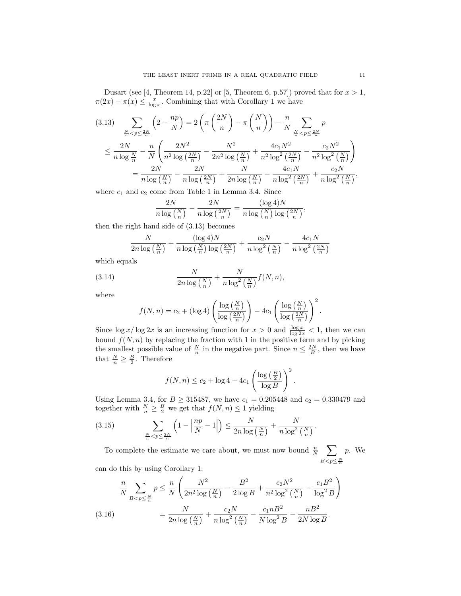Dusart (see [4, Theorem 14, p.22] or [5, Theorem 6, p.57]) proved that for  $x > 1$ ,  $\pi(2x) - \pi(x) \leq \frac{x}{\log x}$ . Combining that with Corollary 1 we have

$$
(3.13) \sum_{\frac{N}{n} < p \le \frac{2N}{n}} \left( 2 - \frac{np}{N} \right) = 2 \left( \pi \left( \frac{2N}{n} \right) - \pi \left( \frac{N}{n} \right) \right) - \frac{n}{N} \sum_{\frac{N}{n} < p \le \frac{2N}{n}} p
$$
\n
$$
\le \frac{2N}{n \log \frac{N}{n}} - \frac{n}{N} \left( \frac{2N^2}{n^2 \log \left( \frac{2N}{n} \right)} - \frac{N^2}{2n^2 \log \left( \frac{N}{n} \right)} + \frac{4c_1 N^2}{n^2 \log^2 \left( \frac{2N}{n} \right)} - \frac{c_2 N^2}{n^2 \log^2 \left( \frac{N}{n} \right)} \right)
$$
\n
$$
= \frac{2N}{n \log \left( \frac{N}{n} \right)} - \frac{2N}{n \log \left( \frac{2N}{n} \right)} + \frac{N}{2n \log \left( \frac{N}{n} \right)} - \frac{4c_1 N}{n \log^2 \left( \frac{2N}{n} \right)} + \frac{c_2 N}{n \log^2 \left( \frac{N}{n} \right)},
$$

where  $c_1$  and  $c_2$  come from Table 1 in Lemma 3.4. Since

$$
\frac{2N}{n\log\left(\frac{N}{n}\right)} - \frac{2N}{n\log\left(\frac{2N}{n}\right)} = \frac{(\log 4)N}{n\log\left(\frac{N}{n}\right)\log\left(\frac{2N}{n}\right)},
$$

then the right hand side of (3.13) becomes

$$
\frac{N}{2n\log\left(\frac{N}{n}\right)} + \frac{(\log 4)N}{n\log\left(\frac{N}{n}\right)\log\left(\frac{2N}{n}\right)} + \frac{c_2N}{n\log^2\left(\frac{N}{n}\right)} - \frac{4c_1N}{n\log^2\left(\frac{2N}{n}\right)}
$$

which equals

(3.14) 
$$
\frac{N}{2n\log\left(\frac{N}{n}\right)} + \frac{N}{n\log^2\left(\frac{N}{n}\right)}f(N, n),
$$

where

$$
f(N,n) = c_2 + (\log 4) \left( \frac{\log \left( \frac{N}{n} \right)}{\log \left( \frac{2N}{n} \right)} \right) - 4c_1 \left( \frac{\log \left( \frac{N}{n} \right)}{\log \left( \frac{2N}{n} \right)} \right)^2.
$$

Since  $\log x / \log 2x$  is an increasing function for  $x > 0$  and  $\frac{\log x}{\log 2x} < 1$ , then we can bound  $f(N, n)$  by replacing the fraction with 1 in the positive term and by picking the smallest possible value of  $\frac{N}{n}$  in the negative part. Since  $n \leq \frac{2N}{B}$ , then we have that  $\frac{N}{n} \geq \frac{B}{2}$ . Therefore

$$
f(N,n) \le c_2 + \log 4 - 4c_1 \left(\frac{\log\left(\frac{B}{2}\right)}{\log B}\right)^2.
$$

Using Lemma 3.4, for  $B \ge 315487$ , we have  $c_1 = 0.205448$  and  $c_2 = 0.330479$  and together with  $\frac{N}{n} \geq \frac{B}{2}$  we get that  $f(N, n) \leq 1$  yielding

(3.15) 
$$
\sum_{\frac{N}{n} < p \le \frac{2N}{n}} \left( 1 - \left| \frac{np}{N} - 1 \right| \right) \le \frac{N}{2n \log\left(\frac{N}{n}\right)} + \frac{N}{n \log^2\left(\frac{N}{n}\right)}.
$$

To complete the estimate we care about, we must now bound  $\frac{n}{N}$   $\sum$  $B < p \leq \frac{N}{n}$ p. We

can do this by using Corollary 1:

$$
\frac{n}{N} \sum_{B < p \le \frac{N}{n}} p \le \frac{n}{N} \left( \frac{N^2}{2n^2 \log\left(\frac{N}{n}\right)} - \frac{B^2}{2 \log B} + \frac{c_2 N^2}{n^2 \log^2\left(\frac{N}{n}\right)} - \frac{c_1 B^2}{\log^2 B} \right) = \frac{N}{2n \log\left(\frac{N}{n}\right)} + \frac{c_2 N}{n \log^2\left(\frac{N}{n}\right)} - \frac{c_1 n B^2}{N \log^2 B} - \frac{n B^2}{2N \log B}.
$$
\n(3.16)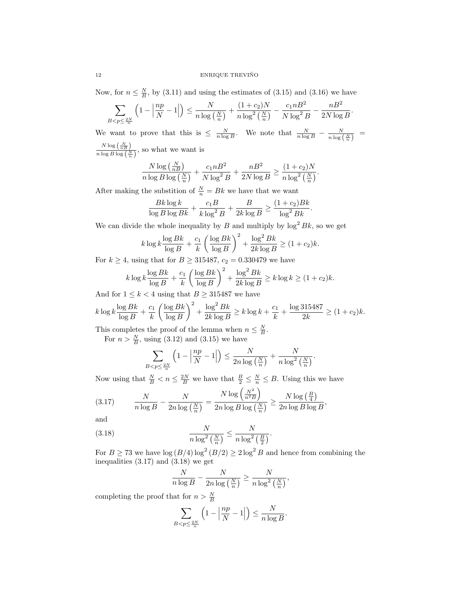Now, for  $n \leq \frac{N}{B}$ , by (3.11) and using the estimates of (3.15) and (3.16) we have

$$
\sum_{B < p \le \frac{2N}{n}} \left( 1 - \left| \frac{np}{N} - 1 \right| \right) \le \frac{N}{n \log\left(\frac{N}{n}\right)} + \frac{(1 + c_2)N}{n \log^2\left(\frac{N}{n}\right)} - \frac{c_1 n B^2}{N \log^2 B} - \frac{n B^2}{2N \log B}.
$$

We want to prove that this is  $\leq \frac{N}{n \log B}$ . We note that  $\frac{N}{n \log B} - \frac{N}{n \log(\frac{N}{n})} =$  $N \log\left(\frac{N}{nB}\right)$  $\frac{n \log \left(\frac{n}{n}\right)}{n \log B \log \left(\frac{N}{n}\right)}$ , so what we want is

$$
\frac{N\log\left(\frac{N}{nB}\right)}{n\log B\log\left(\frac{N}{n}\right)} + \frac{c_1nB^2}{N\log^2 B} + \frac{nB^2}{2N\log B} \ge \frac{(1+c_2)N}{n\log^2\left(\frac{N}{n}\right)}.
$$

After making the substition of  $\frac{N}{n} = Bk$  we have that we want

$$
\frac{Bk \log k}{\log B \log Bk} + \frac{c_1 B}{k \log^2 B} + \frac{B}{2k \log B} \ge \frac{(1+c_2)Bk}{\log^2 Bk}
$$

.

We can divide the whole inequality by B and multiply by  $\log^2 Bk$ , so we get

$$
k \log k \frac{\log Bk}{\log B} + \frac{c_1}{k} \left( \frac{\log Bk}{\log B} \right)^2 + \frac{\log^2 Bk}{2k \log B} \ge (1 + c_2)k.
$$

For  $k \ge 4$ , using that for  $B \ge 315487$ ,  $c_2 = 0.330479$  we have

$$
k \log k \frac{\log Bk}{\log B} + \frac{c_1}{k} \left( \frac{\log Bk}{\log B} \right)^2 + \frac{\log^2 Bk}{2k \log B} \ge k \log k \ge (1 + c_2)k.
$$

And for  $1 \leq k < 4$  using that  $B \geq 315487$  we have

$$
k \log k \frac{\log Bk}{\log B} + \frac{c_1}{k} \left( \frac{\log Bk}{\log B} \right)^2 + \frac{\log^2 Bk}{2k \log B} \ge k \log k + \frac{c_1}{k} + \frac{\log 315487}{2k} \ge (1 + c_2)k.
$$

This completes the proof of the lemma when  $n \leq \frac{N}{B}$ .

For  $n > \frac{N}{B}$ , using (3.12) and (3.15) we have

$$
\sum_{B < p \le \frac{2N}{n}} \left( 1 - \left| \frac{np}{N} - 1 \right| \right) \le \frac{N}{2n \log\left(\frac{N}{n}\right)} + \frac{N}{n \log^2\left(\frac{N}{n}\right)}.
$$

Now using that  $\frac{N}{B} < n \leq \frac{2N}{B}$  we have that  $\frac{B}{2} \leq \frac{N}{n} \leq B$ . Using this we have

(3.17) 
$$
\frac{N}{n \log B} - \frac{N}{2n \log\left(\frac{N}{n}\right)} = \frac{N \log\left(\frac{N^2}{n^2 B}\right)}{2n \log B \log\left(\frac{N}{n}\right)} \ge \frac{N \log\left(\frac{B}{4}\right)}{2n \log B \log B},
$$

and

(3.18) 
$$
\frac{N}{n \log^2\left(\frac{N}{n}\right)} \le \frac{N}{n \log^2\left(\frac{B}{2}\right)}.
$$

For  $B \ge 73$  we have  $\log(B/4) \log^2(B/2) \ge 2 \log^2 B$  and hence from combining the inequalities  $(3.17)$  and  $(3.18)$  we get

$$
\frac{N}{n \log B} - \frac{N}{2n \log\left(\frac{N}{n}\right)} \ge \frac{N}{n \log^2\left(\frac{N}{n}\right)},
$$

completing the proof that for  $n > \frac{N}{B}$ 

$$
\sum_{B < p \le \frac{2N}{n}} \left( 1 - \left| \frac{np}{N} - 1 \right| \right) \le \frac{N}{n \log B}.
$$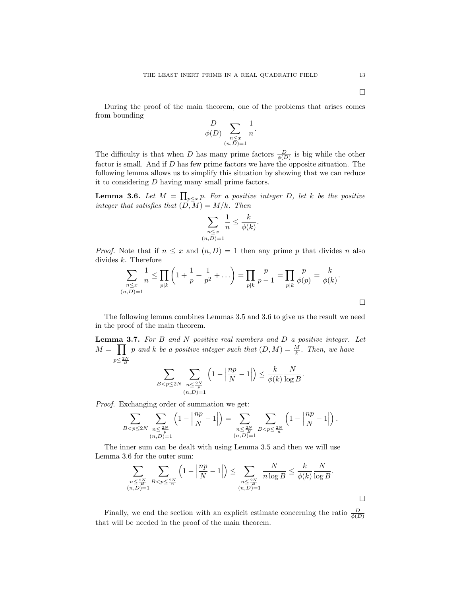During the proof of the main theorem, one of the problems that arises comes from bounding

$$
\frac{D}{\phi(D)} \sum_{\substack{n \le x \\ (n,D)=1}} \frac{1}{n}.
$$

The difficulty is that when D has many prime factors  $\frac{D}{\phi(D)}$  is big while the other factor is small. And if D has few prime factors we have the opposite situation. The following lemma allows us to simplify this situation by showing that we can reduce it to considering D having many small prime factors.

**Lemma 3.6.** Let  $M = \prod_{p \leq x} p$ . For a positive integer D, let k be the positive integer that satisfies that  $(D, M) = M/k$ . Then

$$
\sum_{\substack{n \le x \\ (n,D)=1}} \frac{1}{n} \le \frac{k}{\phi(k)}.
$$

*Proof.* Note that if  $n \leq x$  and  $(n, D) = 1$  then any prime p that divides n also divides  $k$ . Therefore

$$
\sum_{\substack{n \leq x \\ (n,D)=1}} \frac{1}{n} \leq \prod_{p|k} \left(1 + \frac{1}{p} + \frac{1}{p^2} + \dots \right) = \prod_{p|k} \frac{p}{p-1} = \prod_{p|k} \frac{p}{\phi(p)} = \frac{k}{\phi(k)}.
$$

The following lemma combines Lemmas 3.5 and 3.6 to give us the result we need in the proof of the main theorem.

**Lemma 3.7.** For  $B$  and  $N$  positive real numbers and  $D$  a positive integer. Let  $M = \prod p$  and k be a positive integer such that  $(D, M) = \frac{M}{k}$ . Then, we have  $p \leq \frac{2N}{B}$ 

$$
\sum_{B < p \le 2N} \sum_{\substack{n \le \frac{2N}{p} \\ (n,D)=1}} \left(1 - \left|\frac{np}{N} - 1\right|\right) \le \frac{k}{\phi(k)} \frac{N}{\log B}.
$$

Proof. Exchanging order of summation we get:

$$
\sum_{B
$$

The inner sum can be dealt with using Lemma 3.5 and then we will use Lemma 3.6 for the outer sum:

$$
\sum_{\substack{n \leq \frac{2N}{B} \\ (n,D)=1}} \sum_{B < p \leq \frac{2N}{n}} \left(1 - \left|\frac{np}{N} - 1\right|\right) \leq \sum_{\substack{n \leq \frac{2N}{B} \\ (n,D)=1}} \frac{N}{n \log B} \leq \frac{k}{\phi(k)} \frac{N}{\log B}.
$$

Finally, we end the section with an explicit estimate concerning the ratio  $\frac{D}{\phi(D)}$ that will be needed in the proof of the main theorem.

 $\Box$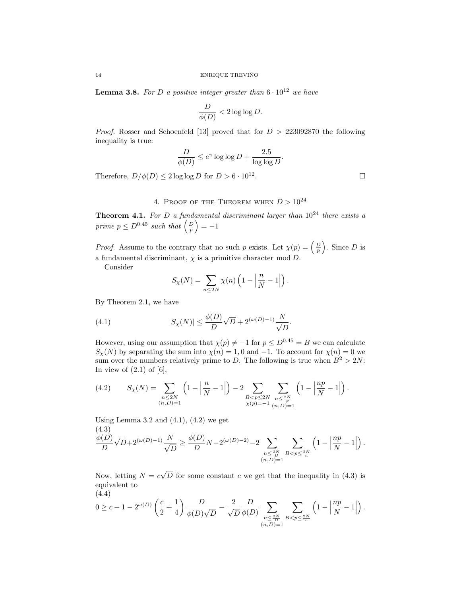**Lemma 3.8.** For D a positive integer greater than  $6 \cdot 10^{12}$  we have

$$
\frac{D}{\phi(D)} < 2\log\log D.
$$

*Proof.* Rosser and Schoenfeld [13] proved that for  $D > 223092870$  the following inequality is true:

$$
\frac{D}{\phi(D)} \le e^{\gamma} \log \log D + \frac{2.5}{\log \log D}.
$$

Therefore,  $D/\phi(D) \leq 2 \log \log D$  for  $D > 6 \cdot 10^{12}$ .

## 4. PROOF OF THE THEOREM WHEN  $D > 10^{24}$

**Theorem 4.1.** For D a fundamental discriminant larger than  $10^{24}$  there exists a prime  $p \leq D^{0.45}$  such that  $\left(\frac{D}{p}\right) = -1$ 

*Proof.* Assume to the contrary that no such p exists. Let  $\chi(p) = \left(\frac{D}{p}\right)$ . Since D is a fundamental discriminant,  $\chi$  is a primitive character mod D.

Consider

$$
S_{\chi}(N) = \sum_{n \le 2N} \chi(n) \left(1 - \left|\frac{n}{N} - 1\right|\right).
$$

By Theorem 2.1, we have

(4.1) 
$$
|S_{\chi}(N)| \leq \frac{\phi(D)}{D} \sqrt{D} + 2^{(\omega(D) - 1)} \frac{N}{\sqrt{D}}.
$$

However, using our assumption that  $\chi(p) \neq -1$  for  $p \leq D^{0.45} = B$  we can calculate  $S_{\chi}(N)$  by separating the sum into  $\chi(n) = 1, 0$  and  $-1$ . To account for  $\chi(n) = 0$  we sum over the numbers relatively prime to D. The following is true when  $B^2 > 2N$ : In view of  $(2.1)$  of  $[6]$ ,

$$
(4.2) \qquad S_{\chi}(N)=\sum_{\substack{n\leq 2N\\ (n,D)=1}}\left(1-\left|\frac{n}{N}-1\right|\right)-2\sum_{\substack{B
$$

Using Lemma 3.2 and  $(4.1)$ ,  $(4.2)$  we get (4.3)

$$
\frac{\phi(D)}{D}\sqrt{D}+2^{(\omega(D)-1)}\frac{N}{\sqrt{D}}\geq \frac{\phi(D)}{D}N-2^{(\omega(D)-2)}-2\sum_{\substack{n\leq \frac{2N}{B}\\(n,D)=1}}\sum_{B
$$

Now, letting  $N = c$ √ D for some constant c we get that the inequality in  $(4.3)$  is equivalent to (4.4)

$$
0 \geq c-1-2^{\omega(D)}\left(\frac{c}{2}+\frac{1}{4}\right)\frac{D}{\phi(D)\sqrt{D}}-\frac{2}{\sqrt{D}}\frac{D}{\phi(D)}\sum_{\substack{n \leq \frac{2N}{B}\\(n,D)=1}}\sum_{B < p \leq \frac{2N}{n}}\left(1-\left|\frac{np}{N}-1\right|\right).
$$

. — Первый процесс в серверності процесс в серверності процесс в серверності процесс в серверності процесс в с<br>Процесс в серверності процесс в серверності процесс в серверності процесс в серверності процесс в серверності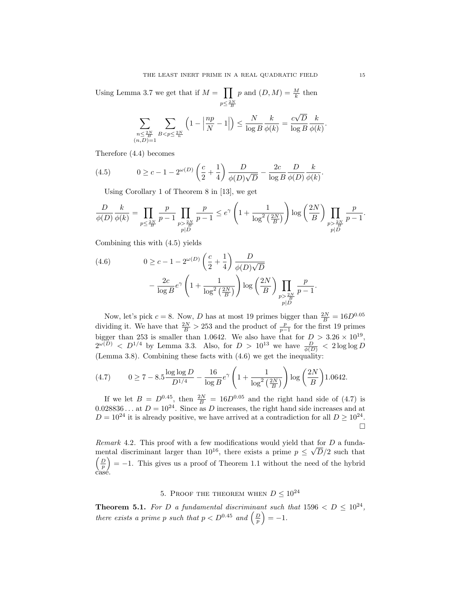Using Lemma 3.7 we get that if  $M = \prod$  $p \leq \frac{2N}{B}$ p and  $(D, M) = \frac{M}{k}$  then

$$
\sum_{\substack{n \leq \frac{2N}{B} \\ (n,D)=1}} \sum_{B < p \leq \frac{2N}{n}} \left(1 - \left|\frac{np}{N} - 1\right|\right) \leq \frac{N}{\log B} \frac{k}{\phi(k)} = \frac{c\sqrt{D}}{\log B} \frac{k}{\phi(k)}.
$$

Therefore (4.4) becomes

(4.5) 
$$
0 \ge c - 1 - 2^{\omega(D)} \left( \frac{c}{2} + \frac{1}{4} \right) \frac{D}{\phi(D)\sqrt{D}} - \frac{2c}{\log B} \frac{D}{\phi(D)} \frac{k}{\phi(k)}.
$$

Using Corollary 1 of Theorem 8 in [13], we get

$$
\frac{D}{\phi(D)} \frac{k}{\phi(k)} = \prod_{\substack{p \le \frac{2N}{B} \\ p \mid D}} \frac{p}{p-1} \prod_{\substack{p > \frac{2N}{B} \\ p \mid D}} \frac{p}{p-1} \le e^{\gamma} \left(1 + \frac{1}{\log^2\left(\frac{2N}{B}\right)}\right) \log\left(\frac{2N}{B}\right) \prod_{\substack{p > \frac{2N}{B} \\ p \mid D}} \frac{p}{p-1}.
$$

Combining this with (4.5) yields

(4.6) 
$$
0 \ge c - 1 - 2^{\omega(D)} \left(\frac{c}{2} + \frac{1}{4}\right) \frac{D}{\phi(D)\sqrt{D}}
$$

$$
- \frac{2c}{\log B} e^{\gamma} \left(1 + \frac{1}{\log^2\left(\frac{2N}{B}\right)}\right) \log\left(\frac{2N}{B}\right) \prod_{\substack{p > \frac{2N}{B} \\ p|D}} \frac{p}{p-1}
$$

Now, let's pick  $c = 8$ . Now, D has at most 19 primes bigger than  $\frac{2N}{B} = 16D^{0.05}$ dividing it. We have that  $\frac{2N}{B} > 253$  and the product of  $\frac{p}{p-1}$  for the first 19 primes bigger than 253 is smaller than 1.0642. We also have that for  $D > 3.26 \times 10^{19}$ ,  $2^{\omega(D)} < D^{1/4}$  by Lemma 3.3. Also, for  $D > 10^{13}$  we have  $\frac{D}{\phi(D)} < 2 \log \log D$ (Lemma 3.8). Combining these facts with  $(4.6)$  we get the inequality:

(4.7) 
$$
0 \ge 7 - 8.5 \frac{\log \log D}{D^{1/4}} - \frac{16}{\log B} e^{\gamma} \left( 1 + \frac{1}{\log^2 \left( \frac{2N}{B} \right)} \right) \log \left( \frac{2N}{B} \right) 1.0642.
$$

If we let  $B = D^{0.45}$ , then  $\frac{2N}{B} = 16D^{0.05}$  and the right hand side of (4.7) is 0.028836... at  $D = 10^{24}$ . Since as D increases, the right hand side increases and at  $D = 10^{24}$  it is already positive, we have arrived at a contradiction for all  $D \ge 10^{24}$ . П

*Remark* 4.2. This proof with a few modifications would yield that for D a fundamental discriminant larger than  $10^{16}$ , there exists a prime  $p \leq \sqrt{D}/2$  such that  $\left(\frac{D}{p}\right) = -1$ . This gives us a proof of Theorem 1.1 without the need of the hybrid case.

# 5. PROOF THE THEOREM WHEN  $D \leq 10^{24}$

**Theorem 5.1.** For D a fundamental discriminant such that  $1596 < D \le 10^{24}$ , there exists a prime p such that  $p < D^{0.45}$  and  $\left(\frac{D}{p}\right) = -1$ .

.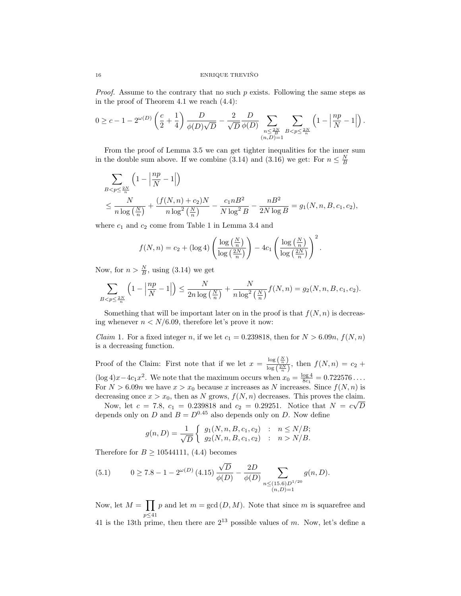*Proof.* Assume to the contrary that no such  $p$  exists. Following the same steps as in the proof of Theorem 4.1 we reach (4.4):

$$
0 \geq c - 1 - 2^{\omega(D)} \left( \frac{c}{2} + \frac{1}{4} \right) \frac{D}{\phi(D)\sqrt{D}} - \frac{2}{\sqrt{D}} \frac{D}{\phi(D)} \sum_{\substack{n \leq \frac{2N}{B} \\ (n,D)=1}} \sum_{B < p \leq \frac{2N}{n}} \left( 1 - \left| \frac{np}{N} - 1 \right| \right).
$$

From the proof of Lemma 3.5 we can get tighter inequalities for the inner sum in the double sum above. If we combine (3.14) and (3.16) we get: For  $n \leq \frac{N}{B}$ 

$$
\begin{split} & \sum_{B
$$

where  $c_1$  and  $c_2$  come from Table 1 in Lemma 3.4 and

$$
f(N,n) = c_2 + (\log 4) \left( \frac{\log \left( \frac{N}{n} \right)}{\log \left( \frac{2N}{n} \right)} \right) - 4c_1 \left( \frac{\log \left( \frac{N}{n} \right)}{\log \left( \frac{2N}{n} \right)} \right)^2.
$$

Now, for  $n > \frac{N}{B}$ , using (3.14) we get

$$
\sum_{B
$$

Something that will be important later on in the proof is that  $f(N, n)$  is decreasing whenever  $n < N/6.09$ , therefore let's prove it now:

*Claim* 1. For a fixed integer n, if we let  $c_1 = 0.239818$ , then for  $N > 6.09n$ ,  $f(N, n)$ is a decreasing function.

Proof of the Claim: First note that if we let  $x = \frac{\log\left(\frac{N}{n}\right)}{\log\left(\frac{2N}{n}\right)}$  $\frac{\log(n)}{\log(\frac{2N}{n})}$ , then  $f(N,n) = c_2 +$  $(\log 4)x - 4c_1x^2$ . We note that the maximum occurs when  $x_0 = \frac{\log 4}{8c_1} = 0.722576...$ For  $N > 6.09n$  we have  $x > x_0$  because x increases as N increases. Since  $f(N, n)$  is decreasing once  $x > x_0$ , then as N grows,  $f(N, n)$  decreases. This proves the claim.

Now, let  $c = 7.8$ ,  $c_1 = 0.239818$  and  $c_2 = 0.29251$ . Notice that  $N = c\sqrt{D}$ depends only on D and  $B = D^{0.45}$  also depends only on D. Now define

$$
g(n, D) = \frac{1}{\sqrt{D}} \begin{cases} g_1(N, n, B, c_1, c_2) & : n \le N/B; \\ g_2(N, n, B, c_1, c_2) & : n > N/B. \end{cases}
$$

Therefore for  $B \ge 10544111, (4.4)$  becomes

(5.1) 
$$
0 \ge 7.8 - 1 - 2^{\omega(D)} (4.15) \frac{\sqrt{D}}{\phi(D)} - \frac{2D}{\phi(D)} \sum_{\substack{n \le (15.6)D^{1/20} \\ (n,D)=1}} g(n,D).
$$

Now, let  $M = \prod$ p≤41 p and let  $m = \gcd(D, M)$ . Note that since m is squarefree and 41 is the 13th prime, then there are  $2^{13}$  possible values of m. Now, let's define a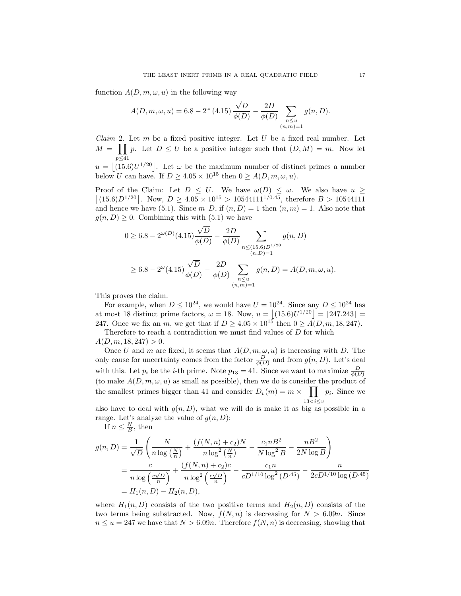function  $A(D, m, \omega, u)$  in the following way

$$
A(D, m, \omega, u) = 6.8 - 2^{\omega} (4.15) \frac{\sqrt{D}}{\phi(D)} - \frac{2D}{\phi(D)} \sum_{\substack{n \le u \\ (n,m)=1}} g(n, D).
$$

*Claim* 2. Let m be a fixed positive integer. Let U be a fixed real number. Let  $M = \prod p$ . Let  $D \leq U$  be a positive integer such that  $(D, M) = m$ . Now let p≤41  $u = |(15.6)U^{1/20}|$ . Let  $\omega$  be the maximum number of distinct primes a number

below U can have. If  $D \geq 4.05 \times 10^{15}$  then  $0 \geq A(D, m, \omega, u)$ .

Proof of the Claim: Let  $D \leq U$ . We have  $\omega(D) \leq \omega$ . We also have  $u \geq$  $|(15.6)D^{1/20}|$ . Now,  $D \ge 4.05 \times 10^{15} > 10544111^{1/0.45}$ , therefore  $B > 10544111$ and hence we have (5.1). Since  $m | D$ , if  $(n, D) = 1$  then  $(n, m) = 1$ . Also note that  $g(n, D) \geq 0$ . Combining this with  $(5.1)$  we have

$$
0 \ge 6.8 - 2^{\omega(D)}(4.15) \frac{\sqrt{D}}{\phi(D)} - \frac{2D}{\phi(D)} \sum_{\substack{n \le (15.6)D^{1/20} \\ (n,D)=1}} g(n,D)
$$
  
 
$$
\ge 6.8 - 2^{\omega}(4.15) \frac{\sqrt{D}}{\phi(D)} - \frac{2D}{\phi(D)} \sum_{\substack{n \le u \\ (n,m)=1}} g(n,D) = A(D,m,\omega,u).
$$

This proves the claim.

For example, when  $D \leq 10^{24}$ , we would have  $U = 10^{24}$ . Since any  $D \leq 10^{24}$  has at most 18 distinct prime factors,  $\omega = 18$ . Now,  $u = |(15.6)U^{1/20}| = |247.243|$ 247. Once we fix an m, we get that if  $D \geq 4.05 \times 10^{15}$  then  $0 \geq A(D, m, 18, 247)$ . Therefore to reach a contradiction we must find values of D for which

 $A(D, m, 18, 247) > 0.$ 

Once U and m are fixed, it seems that  $A(D, m, \omega, u)$  is increasing with D. The only cause for uncertainty comes from the factor  $\frac{D}{\phi(D)}$  and from  $g(n, D)$ . Let's deal with this. Let  $p_i$  be the *i*-th prime. Note  $p_{13} = 41$ . Since we want to maximize  $\frac{D}{\phi(D)}$ (to make  $A(D, m, \omega, u)$  as small as possible), then we do is consider the product of the smallest primes bigger than 41 and consider  $D_v(m) = m \times \prod_{i=1}^{n} p_i$ . Since we  $13$ 

also have to deal with  $g(n, D)$ , what we will do is make it as big as possible in a range. Let's analyze the value of  $g(n, D)$ :

If  $n \leq \frac{N}{B}$ , then

$$
g(n, D) = \frac{1}{\sqrt{D}} \left( \frac{N}{n \log\left(\frac{N}{n}\right)} + \frac{\left(f(N, n) + c_2\right)N}{n \log^2\left(\frac{N}{n}\right)} - \frac{c_1 n B^2}{N \log^2 B} - \frac{n B^2}{2N \log B} \right)
$$
  
= 
$$
\frac{c}{n \log\left(\frac{c\sqrt{D}}{n}\right)} + \frac{\left(f(N, n) + c_2\right)c}{n \log^2\left(\frac{c\sqrt{D}}{n}\right)} - \frac{c_1 n}{c D^{1/10} \log^2(D^{.45})} - \frac{n}{2c D^{1/10} \log(D^{.45})}
$$
  
= 
$$
H_1(n, D) - H_2(n, D),
$$

where  $H_1(n, D)$  consists of the two positive terms and  $H_2(n, D)$  consists of the two terms being substracted. Now,  $f(N, n)$  is decreasing for  $N > 6.09n$ . Since  $n \le u = 247$  we have that  $N > 6.09n$ . Therefore  $f(N, n)$  is decreasing, showing that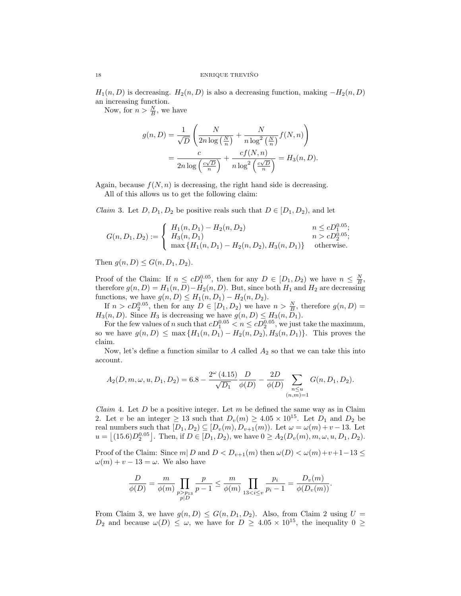$H_1(n, D)$  is decreasing.  $H_2(n, D)$  is also a decreasing function, making  $-H_2(n, D)$ an increasing function.

Now, for  $n > \frac{N}{B}$ , we have

$$
g(n, D) = \frac{1}{\sqrt{D}} \left( \frac{N}{2n \log\left(\frac{N}{n}\right)} + \frac{N}{n \log^2\left(\frac{N}{n}\right)} f(N, n) \right)
$$
  
= 
$$
\frac{c}{2n \log\left(\frac{c\sqrt{D}}{n}\right)} + \frac{cf(N, n)}{n \log^2\left(\frac{c\sqrt{D}}{n}\right)} = H_3(n, D).
$$

Again, because  $f(N, n)$  is decreasing, the right hand side is decreasing.

All of this allows us to get the following claim:

*Claim* 3. Let  $D, D_1, D_2$  be positive reals such that  $D \in [D_1, D_2)$ , and let

$$
G(n, D_1, D_2) := \begin{cases} H_1(n, D_1) - H_2(n, D_2) & n \leq cD_1^{0.05}; \\ H_3(n, D_1) & n > cD_2^{0.05}; \\ \max\{H_1(n, D_1) - H_2(n, D_2), H_3(n, D_1)\} & \text{otherwise.} \end{cases}
$$

Then  $g(n, D) \leq G(n, D_1, D_2)$ .

Proof of the Claim: If  $n \leq cD_1^{0.05}$ , then for any  $D \in [D_1, D_2)$  we have  $n \leq \frac{N}{B}$ , therefore  $g(n, D) = H_1(n, D) - H_2(n, D)$ . But, since both  $H_1$  and  $H_2$  are decreasing functions, we have  $g(n, D) \leq H_1(n, D_1) - H_2(n, D_2)$ .

If  $n > cD_2^{0.05}$ , then for any  $D \in [D_1, D_2)$  we have  $n > \frac{N}{B}$ , therefore  $g(n, D)$  =  $H_3(n, D)$ . Since  $H_3$  is decreasing we have  $g(n, D) \leq H_3(n, D_1)$ .

For the few values of n such that  $cD_1^{0.05} < n \leq cD_2^{0.05}$ , we just take the maximum, so we have  $g(n, D) \le \max \{H_1(n, D_1) - H_2(n, D_2), H_3(n, D_1)\}.$  This proves the claim.

Now, let's define a function similar to  $A$  called  $A_2$  so that we can take this into account.

$$
A_2(D, m, \omega, u, D_1, D_2) = 6.8 - \frac{2^{\omega} (4.15)}{\sqrt{D_1}} \frac{D}{\phi(D)} - \frac{2D}{\phi(D)} \sum_{\substack{n \le u \\ (n,m)=1}} G(n, D_1, D_2).
$$

*Claim* 4. Let  $D$  be a positive integer. Let  $m$  be defined the same way as in Claim 2. Let v be an integer  $\geq 13$  such that  $D_v(m) \geq 4.05 \times 10^{15}$ . Let  $D_1$  and  $D_2$  be real numbers such that  $[D_1, D_2) \subseteq [D_v(m), D_{v+1}(m))$ . Let  $\omega = \omega(m) + v - 13$ . Let  $u = \left[ (15.6)D_2^{0.05} \right]$ . Then, if  $D \in [D_1, D_2)$ , we have  $0 \ge A_2(D_v(m), m, \omega, u, D_1, D_2)$ .

Proof of the Claim: Since  $m | D$  and  $D < D_{v+1}(m)$  then  $\omega(D) < \omega(m)+v+1-13 \le$  $\omega(m) + v - 13 = \omega$ . We also have

$$
\frac{D}{\phi(D)} = \frac{m}{\phi(m)} \prod_{\substack{p > p_{13} \\ p \mid D}} \frac{p}{p-1} \le \frac{m}{\phi(m)} \prod_{13 < i \le v} \frac{p_i}{p_i - 1} = \frac{D_v(m)}{\phi(D_v(m))}.
$$

From Claim 3, we have  $g(n, D) \leq G(n, D_1, D_2)$ . Also, from Claim 2 using  $U =$  $D_2$  and because  $\omega(D) \leq \omega$ , we have for  $D \geq 4.05 \times 10^{15}$ , the inequality  $0 \geq$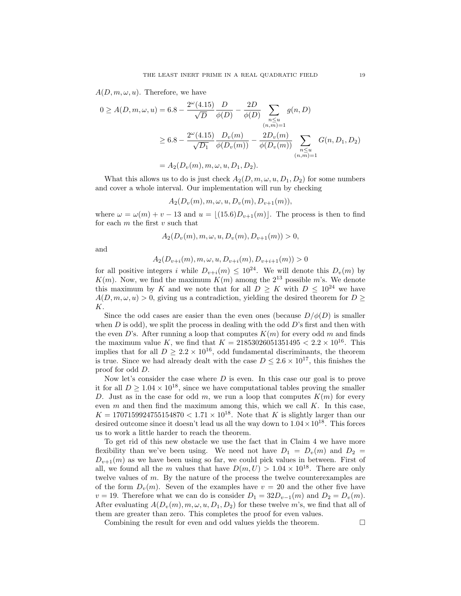$A(D, m, \omega, u)$ . Therefore, we have

$$
0 \ge A(D, m, \omega, u) = 6.8 - \frac{2^{\omega}(4.15)}{\sqrt{D}} \frac{D}{\phi(D)} - \frac{2D}{\phi(D)} \sum_{\substack{n \le u \\ (n,m)=1}} g(n, D)
$$
  

$$
\ge 6.8 - \frac{2^{\omega}(4.15)}{\sqrt{D_1}} \frac{D_v(m)}{\phi(D_v(m))} - \frac{2D_v(m)}{\phi(D_v(m))} \sum_{\substack{n \le u \\ (n,m)=1}} G(n, D_1, D_2)
$$
  

$$
= A_2(D_v(m), m, \omega, u, D_1, D_2).
$$

What this allows us to do is just check  $A_2(D, m, \omega, u, D_1, D_2)$  for some numbers and cover a whole interval. Our implementation will run by checking

$$
A_2(D_v(m), m, \omega, u, D_v(m), D_{v+1}(m)),
$$

where  $\omega = \omega(m) + v - 13$  and  $u = \lfloor (15.6)D_{v+1}(m) \rfloor$ . The process is then to find for each  $m$  the first  $v$  such that

$$
A_2(D_v(m), m, \omega, u, D_v(m), D_{v+1}(m)) > 0,
$$

and

$$
A_2(D_{v+i}(m), m, \omega, u, D_{v+i}(m), D_{v+i+1}(m)) > 0
$$

for all positive integers i while  $D_{v+i}(m) \leq 10^{24}$ . We will denote this  $D_v(m)$  by  $K(m)$ . Now, we find the maximum  $K(m)$  among the  $2^{13}$  possible m's. We denote this maximum by K and we note that for all  $D \geq K$  with  $D \leq 10^{24}$  we have  $A(D, m, \omega, u) > 0$ , giving us a contradiction, yielding the desired theorem for  $D \geq$ K.

Since the odd cases are easier than the even ones (because  $D/\phi(D)$ ) is smaller when  $D$  is odd), we split the process in dealing with the odd  $D$ 's first and then with the even D's. After running a loop that computes  $K(m)$  for every odd m and finds the maximum value K, we find that  $K = 21853026051351495 < 2.2 \times 10^{16}$ . This implies that for all  $D \geq 2.2 \times 10^{16}$ , odd fundamental discriminants, the theorem is true. Since we had already dealt with the case  $D \leq 2.6 \times 10^{17}$ , this finishes the proof for odd D.

Now let's consider the case where  $D$  is even. In this case our goal is to prove it for all  $D \geq 1.04 \times 10^{18}$ , since we have computational tables proving the smaller D. Just as in the case for odd m, we run a loop that computes  $K(m)$  for every even  $m$  and then find the maximum among this, which we call  $K$ . In this case,  $K = 1707159924755154870 < 1.71 \times 10^{18}$ . Note that K is slightly larger than our desired outcome since it doesn't lead us all the way down to  $1.04 \times 10^{18}$ . This forces us to work a little harder to reach the theorem.

To get rid of this new obstacle we use the fact that in Claim 4 we have more flexibility than we've been using. We need not have  $D_1 = D_v(m)$  and  $D_2 =$  $D_{v+1}(m)$  as we have been using so far, we could pick values in between. First of all, we found all the m values that have  $D(m, U) > 1.04 \times 10^{18}$ . There are only twelve values of m. By the nature of the process the twelve counterexamples are of the form  $D_v(m)$ . Seven of the examples have  $v = 20$  and the other five have  $v = 19$ . Therefore what we can do is consider  $D_1 = 32D_{v-1}(m)$  and  $D_2 = D_v(m)$ . After evaluating  $A(D_v(m), m, \omega, u, D_1, D_2)$  for these twelve m's, we find that all of them are greater than zero. This completes the proof for even values.

Combining the result for even and odd values yields the theorem.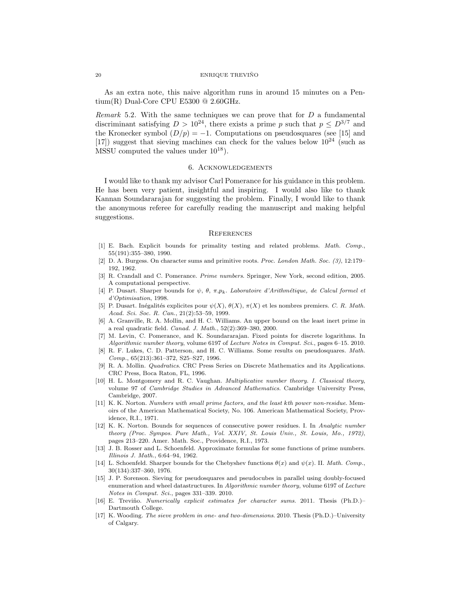As an extra note, this naive algorithm runs in around 15 minutes on a Pentium(R) Dual-Core CPU E5300 @ 2.60GHz.

*Remark* 5.2. With the same techniques we can prove that for  $D$  a fundamental discriminant satisfying  $D > 10^{24}$ , there exists a prime p such that  $p \leq D^{3/7}$  and the Kronecker symbol  $(D/p) = -1$ . Computations on pseudosquares (see [15] and [17]) suggest that sieving machines can check for the values below  $10^{24}$  (such as MSSU computed the values under  $10^{18}$ ).

## 6. Acknowledgements

I would like to thank my advisor Carl Pomerance for his guidance in this problem. He has been very patient, insightful and inspiring. I would also like to thank Kannan Soundararajan for suggesting the problem. Finally, I would like to thank the anonymous referee for carefully reading the manuscript and making helpful suggestions.

#### **REFERENCES**

- [1] E. Bach. Explicit bounds for primality testing and related problems. Math. Comp., 55(191):355–380, 1990.
- [2] D. A. Burgess. On character sums and primitive roots. Proc. London Math. Soc. (3), 12:179– 192, 1962.
- [3] R. Crandall and C. Pomerance. Prime numbers. Springer, New York, second edition, 2005. A computational perspective.
- [4] P. Dusart. Sharper bounds for  $\psi$ ,  $\theta$ ,  $\pi$ , $p_k$ . Laboratoire d'Arithmétique, de Calcul formel et d'Optimisation, 1998.
- [5] P. Dusart. Inégalités explicites pour  $\psi(X)$ ,  $\theta(X)$ ,  $\pi(X)$  et les nombres premiers. C. R. Math. Acad. Sci. Soc. R. Can., 21(2):53–59, 1999.
- [6] A. Granville, R. A. Mollin, and H. C. Williams. An upper bound on the least inert prime in a real quadratic field. Canad. J. Math., 52(2):369–380, 2000.
- [7] M. Levin, C. Pomerance, and K. Soundararajan. Fixed points for discrete logarithms. In Algorithmic number theory, volume 6197 of Lecture Notes in Comput. Sci., pages 6–15. 2010.
- [8] R. F. Lukes, C. D. Patterson, and H. C. Williams. Some results on pseudosquares. Math. Comp., 65(213):361–372, S25–S27, 1996.
- [9] R. A. Mollin. Quadratics. CRC Press Series on Discrete Mathematics and its Applications. CRC Press, Boca Raton, FL, 1996.
- [10] H. L. Montgomery and R. C. Vaughan. Multiplicative number theory. I. Classical theory, volume 97 of Cambridge Studies in Advanced Mathematics. Cambridge University Press, Cambridge, 2007.
- [11] K. K. Norton. Numbers with small prime factors, and the least kth power non-residue. Memoirs of the American Mathematical Society, No. 106. American Mathematical Society, Providence, R.I., 1971.
- [12] K. K. Norton. Bounds for sequences of consecutive power residues. I. In Analytic number theory (Proc. Sympos. Pure Math., Vol. XXIV, St. Louis Univ., St. Louis, Mo., 1972), pages 213–220. Amer. Math. Soc., Providence, R.I., 1973.
- [13] J. B. Rosser and L. Schoenfeld. Approximate formulas for some functions of prime numbers. Illinois J. Math., 6:64–94, 1962.
- [14] L. Schoenfeld. Sharper bounds for the Chebyshev functions  $\theta(x)$  and  $\psi(x)$ . II. Math. Comp., 30(134):337–360, 1976.
- [15] J. P. Sorenson. Sieving for pseudosquares and pseudocubes in parallel using doubly-focused enumeration and wheel datastructures. In Algorithmic number theory, volume 6197 of Lecture Notes in Comput. Sci., pages 331–339. 2010.
- [16] E. Treviño. Numerically explicit estimates for character sums. 2011. Thesis (Ph.D.)– Dartmouth College.
- [17] K. Wooding. The sieve problem in one- and two-dimensions. 2010. Thesis (Ph.D.)–University of Calgary.